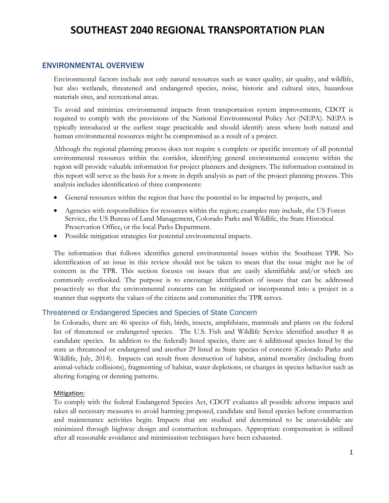## ENVIRONMENTAL OVERVIEW

Environmental factors include not only natural resources such as water quality, air quality, and wildlife, but also wetlands, threatened and endangered species, noise, historic and cultural sites, hazardous materials sites, and recreational areas.

To avoid and minimize environmental impacts from transportation system improvements, CDOT is required to comply with the provisions of the National Environmental Policy Act (NEPA). NEPA is typically introduced at the earliest stage practicable and should identify areas where both natural and human environmental resources might be compromised as a result of a project.

Although the regional planning process does not require a complete or specific inventory of all potential environmental resources within the corridor, identifying general environmental concerns within the region will provide valuable information for project planners and designers. The information contained in this report will serve as the basis for a more in depth analysis as part of the project planning process. This analysis includes identification of three components:

- General resources within the region that have the potential to be impacted by projects, and
- Agencies with responsibilities for resources within the region; examples may include, the US Forest Service, the US Bureau of Land Management, Colorado Parks and Wildlife, the State Historical Preservation Office, or the local Parks Department.
- Possible mitigation strategies for potential environmental impacts.

The information that follows identifies general environmental issues within the Southeast TPR. No identification of an issue in this review should not be taken to mean that the issue might not be of concern in the TPR. This section focuses on issues that are easily identifiable and/or which are commonly overlooked. The purpose is to encourage identification of issues that can be addressed proactively so that the environmental concerns can be mitigated or incorporated into a project in a manner that supports the values of the citizens and communities the TPR serves.

### Threatened or Endangered Species and Species of State Concern

In Colorado, there are 46 species of fish, birds, insects, amphibians, mammals and plants on the federal list of threatened or endangered species. The U.S. Fish and Wildlife Service identified another 8 as candidate species. In addition to the federally listed species, there are 6 additional species listed by the state as threatened or endangered and another 29 listed as State species of concern (Colorado Parks and Wildlife, July, 2014). Impacts can result from destruction of habitat, animal mortality (including from animal-vehicle collisions), fragmenting of habitat, water depletions, or changes in species behavior such as altering foraging or denning patterns.

### Mitigation:

To comply with the federal Endangered Species Act, CDOT evaluates all possible adverse impacts and takes all necessary measures to avoid harming proposed, candidate and listed species before construction and maintenance activities begin. Impacts that are studied and determined to be unavoidable are minimized through highway design and construction techniques. Appropriate compensation is utilized after all reasonable avoidance and minimization techniques have been exhausted.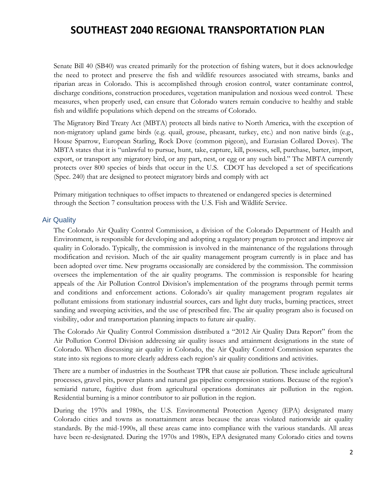Senate Bill 40 (SB40) was created primarily for the protection of fishing waters, but it does acknowledge the need to protect and preserve the fish and wildlife resources associated with streams, banks and riparian areas in Colorado. This is accomplished through erosion control, water contaminate control, discharge conditions, construction procedures, vegetation manipulation and noxious weed control. These measures, when properly used, can ensure that Colorado waters remain conducive to healthy and stable fish and wildlife populations which depend on the streams of Colorado.

The Migratory Bird Treaty Act (MBTA) protects all birds native to North America, with the exception of non-migratory upland game birds (e.g. quail, grouse, pheasant, turkey, etc.) and non native birds (e.g., House Sparrow, European Starling, Rock Dove (common pigeon), and Eurasian Collared Doves). The MBTA states that it is "unlawful to pursue, hunt, take, capture, kill, possess, sell, purchase, barter, import, export, or transport any migratory bird, or any part, nest, or egg or any such bird." The MBTA currently protects over 800 species of birds that occur in the U.S. CDOT has developed a set of specifications (Spec. 240) that are designed to protect migratory birds and comply with act

Primary mitigation techniques to offset impacts to threatened or endangered species is determined through the Section 7 consultation process with the U.S. Fish and Wildlife Service.

## Air Quality

The Colorado Air Quality Control Commission, a division of the Colorado Department of Health and Environment, is responsible for developing and adopting a regulatory program to protect and improve air quality in Colorado. Typically, the commission is involved in the maintenance of the regulations through modification and revision. Much of the air quality management program currently is in place and has been adopted over time. New programs occasionally are considered by the commission. The commission oversees the implementation of the air quality programs. The commission is responsible for hearing appeals of the Air Pollution Control Division's implementation of the programs through permit terms and conditions and enforcement actions. Colorado's air quality management program regulates air pollutant emissions from stationary industrial sources, cars and light duty trucks, burning practices, street sanding and sweeping activities, and the use of prescribed fire. The air quality program also is focused on visibility, odor and transportation planning impacts to future air quality.

The Colorado Air Quality Control Commission distributed a "2012 Air Quality Data Report" from the Air Pollution Control Division addressing air quality issues and attainment designations in the state of Colorado. When discussing air quality in Colorado, the Air Quality Control Commission separates the state into six regions to more clearly address each region's air quality conditions and activities.

There are a number of industries in the Southeast TPR that cause air pollution. These include agricultural processes, gravel pits, power plants and natural gas pipeline compression stations. Because of the region's semiarid nature, fugitive dust from agricultural operations dominates air pollution in the region. Residential burning is a minor contributor to air pollution in the region.

During the 1970s and 1980s, the U.S. Environmental Protection Agency (EPA) designated many Colorado cities and towns as nonattainment areas because the areas violated nationwide air quality standards. By the mid-1990s, all these areas came into compliance with the various standards. All areas have been re-designated. During the 1970s and 1980s, EPA designated many Colorado cities and towns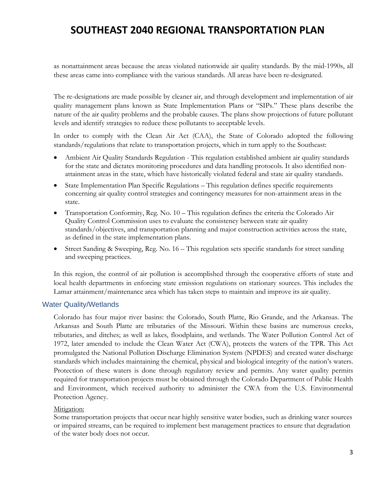as nonattainment areas because the areas violated nationwide air quality standards. By the mid-1990s, all these areas came into compliance with the various standards. All areas have been re-designated.

The re-designations are made possible by cleaner air, and through development and implementation of air quality management plans known as State Implementation Plans or "SIPs." These plans describe the nature of the air quality problems and the probable causes. The plans show projections of future pollutant levels and identify strategies to reduce these pollutants to acceptable levels.

In order to comply with the Clean Air Act (CAA), the State of Colorado adopted the following standards/regulations that relate to transportation projects, which in turn apply to the Southeast:

- Ambient Air Quality Standards Regulation This regulation established ambient air quality standards for the state and dictates monitoring procedures and data handling protocols. It also identified nonattainment areas in the state, which have historically violated federal and state air quality standards.
- State Implementation Plan Specific Regulations This regulation defines specific requirements concerning air quality control strategies and contingency measures for non-attainment areas in the state.
- Transportation Conformity, Reg. No. 10 This regulation defines the criteria the Colorado Air Quality Control Commission uses to evaluate the consistency between state air quality standards/objectives, and transportation planning and major construction activities across the state, as defined in the state implementation plans.
- Street Sanding & Sweeping, Reg. No. 16 This regulation sets specific standards for street sanding and sweeping practices.

In this region, the control of air pollution is accomplished through the cooperative efforts of state and local health departments in enforcing state emission regulations on stationary sources. This includes the Lamar attainment/maintenance area which has taken steps to maintain and improve its air quality.

### Water Quality/Wetlands

Colorado has four major river basins: the Colorado, South Platte, Rio Grande, and the Arkansas. The Arkansas and South Platte are tributaries of the Missouri. Within these basins are numerous creeks, tributaries, and ditches; as well as lakes, floodplains, and wetlands. The Water Pollution Control Act of 1972, later amended to include the Clean Water Act (CWA), protects the waters of the TPR. This Act promulgated the National Pollution Discharge Elimination System (NPDES) and created water discharge standards which includes maintaining the chemical, physical and biological integrity of the nation's waters. Protection of these waters is done through regulatory review and permits. Any water quality permits required for transportation projects must be obtained through the Colorado Department of Public Health and Environment, which received authority to administer the CWA from the U.S. Environmental Protection Agency.

### Mitigation:

Some transportation projects that occur near highly sensitive water bodies, such as drinking water sources or impaired streams, can be required to implement best management practices to ensure that degradation of the water body does not occur.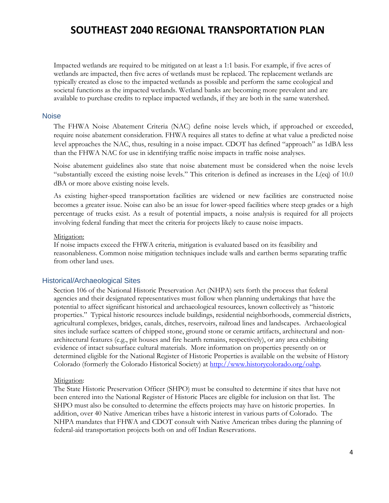Impacted wetlands are required to be mitigated on at least a 1:1 basis. For example, if five acres of wetlands are impacted, then five acres of wetlands must be replaced. The replacement wetlands are typically created as close to the impacted wetlands as possible and perform the same ecological and societal functions as the impacted wetlands. Wetland banks are becoming more prevalent and are available to purchase credits to replace impacted wetlands, if they are both in the same watershed.

### **Noise**

The FHWA Noise Abatement Criteria (NAC) define noise levels which, if approached or exceeded, require noise abatement consideration. FHWA requires all states to define at what value a predicted noise level approaches the NAC, thus, resulting in a noise impact. CDOT has defined "approach" as 1dBA less than the FHWA NAC for use in identifying traffic noise impacts in traffic noise analyses.

Noise abatement guidelines also state that noise abatement must be considered when the noise levels "substantially exceed the existing noise levels." This criterion is defined as increases in the L(eq) of 10.0 dBA or more above existing noise levels.

As existing higher-speed transportation facilities are widened or new facilities are constructed noise becomes a greater issue. Noise can also be an issue for lower-speed facilities where steep grades or a high percentage of trucks exist. As a result of potential impacts, a noise analysis is required for all projects involving federal funding that meet the criteria for projects likely to cause noise impacts.

#### Mitigation:

If noise impacts exceed the FHWA criteria, mitigation is evaluated based on its feasibility and reasonableness. Common noise mitigation techniques include walls and earthen berms separating traffic from other land uses.

### Historical/Archaeological Sites

Section 106 of the National Historic Preservation Act (NHPA) sets forth the process that federal agencies and their designated representatives must follow when planning undertakings that have the potential to affect significant historical and archaeological resources, known collectively as "historic properties." Typical historic resources include buildings, residential neighborhoods, commercial districts, agricultural complexes, bridges, canals, ditches, reservoirs, railroad lines and landscapes. Archaeological sites include surface scatters of chipped stone, ground stone or ceramic artifacts, architectural and nonarchitectural features (e.g., pit houses and fire hearth remains, respectively), or any area exhibiting evidence of intact subsurface cultural materials. More information on properties presently on or determined eligible for the National Register of Historic Properties is available on the website of History Colorado (formerly the Colorado Historical Society) at http://www.historycolorado.org/oahp.

#### Mitigation:

The State Historic Preservation Officer (SHPO) must be consulted to determine if sites that have not been entered into the National Register of Historic Places are eligible for inclusion on that list. The SHPO must also be consulted to determine the effects projects may have on historic properties. In addition, over 40 Native American tribes have a historic interest in various parts of Colorado. The NHPA mandates that FHWA and CDOT consult with Native American tribes during the planning of federal-aid transportation projects both on and off Indian Reservations.